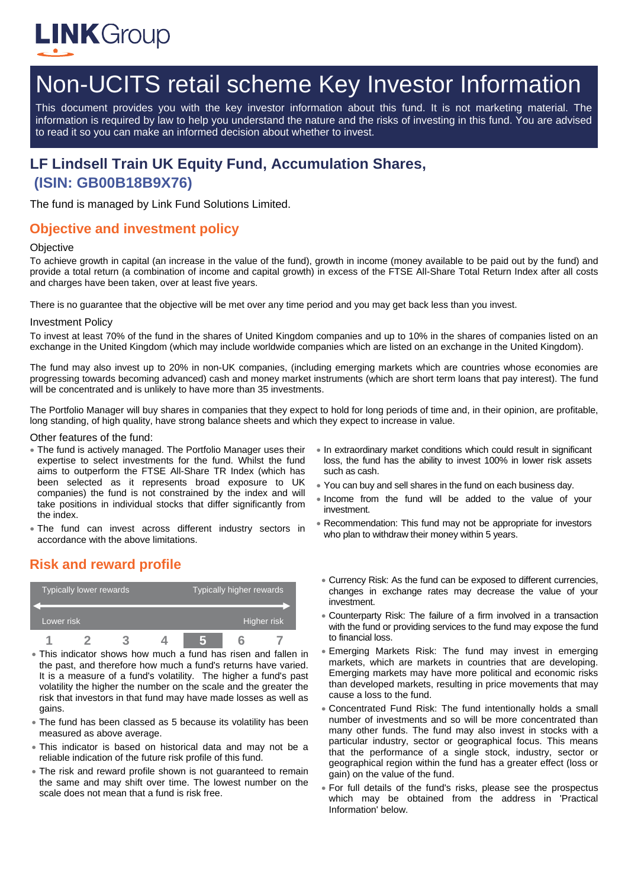

# Non-UCITS retail scheme Key Investor Information

This document provides you with the key investor information about this fund. It is not marketing material. The information is required by law to help you understand the nature and the risks of investing in this fund. You are advised to read it so you can make an informed decision about whether to invest.

## **LF Lindsell Train UK Equity Fund, Accumulation Shares, (ISIN: GB00B18B9X76)**

The fund is managed by Link Fund Solutions Limited.

## **Objective and investment policy**

#### **Objective**

To achieve growth in capital (an increase in the value of the fund), growth in income (money available to be paid out by the fund) and provide a total return (a combination of income and capital growth) in excess of the FTSE All-Share Total Return Index after all costs and charges have been taken, over at least five years.

There is no guarantee that the objective will be met over any time period and you may get back less than you invest.

#### Investment Policy

To invest at least 70% of the fund in the shares of United Kingdom companies and up to 10% in the shares of companies listed on an exchange in the United Kingdom (which may include worldwide companies which are listed on an exchange in the United Kingdom).

The fund may also invest up to 20% in non-UK companies, (including emerging markets which are countries whose economies are progressing towards becoming advanced) cash and money market instruments (which are short term loans that pay interest). The fund will be concentrated and is unlikely to have more than 35 investments.

The Portfolio Manager will buy shares in companies that they expect to hold for long periods of time and, in their opinion, are profitable, long standing, of high quality, have strong balance sheets and which they expect to increase in value.

#### Other features of the fund:

**Risk and reward profile**

- The fund is actively managed. The Portfolio Manager uses their expertise to select investments for the fund. Whilst the fund aims to outperform the FTSE All-Share TR Index (which has been selected as it represents broad exposure to UK companies) the fund is not constrained by the index and will take positions in individual stocks that differ significantly from the index.
- The fund can invest across different industry sectors in accordance with the above limitations.

## Typically lower rewards Typically higher rewards Lower risk **Higher risk** Higher risk **Higher risk 1 2 3 4 5 6 7**

- This indicator shows how much a fund has risen and fallen in the past, and therefore how much a fund's returns have varied. It is a measure of a fund's volatility. The higher a fund's past volatility the higher the number on the scale and the greater the risk that investors in that fund may have made losses as well as gains.
- The fund has been classed as 5 because its volatility has been measured as above average.
- This indicator is based on historical data and may not be a reliable indication of the future risk profile of this fund.
- The risk and reward profile shown is not guaranteed to remain the same and may shift over time. The lowest number on the scale does not mean that a fund is risk free.
- In extraordinary market conditions which could result in significant loss, the fund has the ability to invest 100% in lower risk assets such as cash.
- You can buy and sell shares in the fund on each business day.
- Income from the fund will be added to the value of your investment.
- Recommendation: This fund may not be appropriate for investors who plan to withdraw their money within 5 years.
- Currency Risk: As the fund can be exposed to different currencies, changes in exchange rates may decrease the value of your investment.
- Counterparty Risk: The failure of a firm involved in a transaction with the fund or providing services to the fund may expose the fund to financial loss.
- Emerging Markets Risk: The fund may invest in emerging markets, which are markets in countries that are developing. Emerging markets may have more political and economic risks than developed markets, resulting in price movements that may cause a loss to the fund.
- Concentrated Fund Risk: The fund intentionally holds a small number of investments and so will be more concentrated than many other funds. The fund may also invest in stocks with a particular industry, sector or geographical focus. This means that the performance of a single stock, industry, sector or geographical region within the fund has a greater effect (loss or gain) on the value of the fund.
- For full details of the fund's risks, please see the prospectus which may be obtained from the address in 'Practical Information' below.